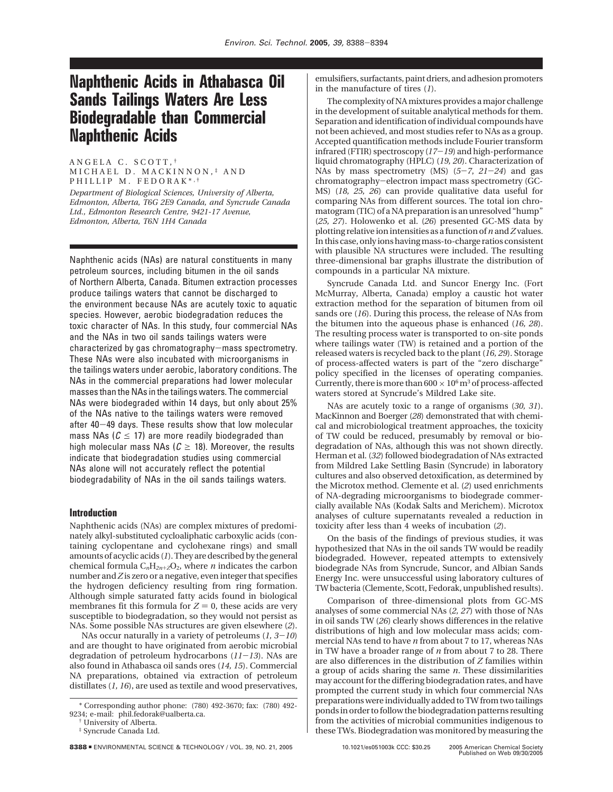# **Naphthenic Acids in Athabasca Oil Sands Tailings Waters Are Less Biodegradable than Commercial Naphthenic Acids**

ANGELA C. SCOTT, † MICHAEL D. MACKINNON, ‡ AND PHILLIP M. FEDORAK\*,<sup>†</sup>

*Department of Biological Sciences, University of Alberta, Edmonton, Alberta, T6G 2E9 Canada, and Syncrude Canada Ltd., Edmonton Research Centre, 9421-17 Avenue, Edmonton, Alberta, T6N 1H4 Canada*

Naphthenic acids (NAs) are natural constituents in many petroleum sources, including bitumen in the oil sands of Northern Alberta, Canada. Bitumen extraction processes produce tailings waters that cannot be discharged to the environment because NAs are acutely toxic to aquatic species. However, aerobic biodegradation reduces the toxic character of NAs. In this study, four commercial NAs and the NAs in two oil sands tailings waters were characterized by gas chromatography-mass spectrometry. These NAs were also incubated with microorganisms in the tailings waters under aerobic, laboratory conditions. The NAs in the commercial preparations had lower molecular masses than the NAs in the tailings waters. The commercial NAs were biodegraded within 14 days, but only about 25% of the NAs native to the tailings waters were removed after 40-49 days. These results show that low molecular mass NAs ( $C \leq 17$ ) are more readily biodegraded than high molecular mass NAs ( $C \ge 18$ ). Moreover, the results indicate that biodegradation studies using commercial NAs alone will not accurately reflect the potential biodegradability of NAs in the oil sands tailings waters.

### **Introduction**

Naphthenic acids (NAs) are complex mixtures of predominately alkyl-substituted cycloaliphatic carboxylic acids (containing cyclopentane and cyclohexane rings) and small amounts of acyclic acids (*1*). They are described by the general chemical formula  $C_nH_{2n+Z}O_2$ , where *n* indicates the carbon number and*Z* is zero or a negative, even integer that specifies the hydrogen deficiency resulting from ring formation. Although simple saturated fatty acids found in biological membranes fit this formula for  $Z = 0$ , these acids are very susceptible to biodegradation, so they would not persist as NAs. Some possible NAs structures are given elsewhere (*2*).

NAs occur naturally in a variety of petroleums (*1, 3*-*10*) and are thought to have originated from aerobic microbial degradation of petroleum hydrocarbons (*11*-*13*). NAs are also found in Athabasca oil sands ores (*14, 15*). Commercial NA preparations, obtained via extraction of petroleum distillates (*1, 16*), are used as textile and wood preservatives,

† University of Alberta.

emulsifiers, surfactants, paint driers, and adhesion promoters in the manufacture of tires (*1*).

The complexity of NA mixtures provides a major challenge in the development of suitable analytical methods for them. Separation and identification of individual compounds have not been achieved, and most studies refer to NAs as a group. Accepted quantification methods include Fourier transform infrared (FTIR) spectroscopy (*17*-*19*) and high-performance liquid chromatography (HPLC) (*19, 20*). Characterization of NAs by mass spectrometry (MS) (*5*-*7*, *<sup>21</sup>*-*24*) and gas chromatography-electron impact mass spectrometry (GC-MS) (*18, 25, 26*) can provide qualitative data useful for comparing NAs from different sources. The total ion chromatogram (TIC) of a NA preparation is an unresolved "hump" (*25, 27*). Holowenko et al. (*26*) presented GC-MS data by plotting relative ion intensities as a function of *n*and*Z*values. In this case, only ions having mass-to-charge ratios consistent with plausible NA structures were included. The resulting three-dimensional bar graphs illustrate the distribution of compounds in a particular NA mixture.

Syncrude Canada Ltd. and Suncor Energy Inc. (Fort McMurray, Alberta, Canada) employ a caustic hot water extraction method for the separation of bitumen from oil sands ore (*16*). During this process, the release of NAs from the bitumen into the aqueous phase is enhanced (*16, 28*). The resulting process water is transported to on-site ponds where tailings water (TW) is retained and a portion of the released waters is recycled back to the plant (*16, 29*). Storage of process-affected waters is part of the "zero discharge" policy specified in the licenses of operating companies. Currently, there is more than  $600 \times 10^6$  m<sup>3</sup> of process-affected waters stored at Syncrude's Mildred Lake site.

NAs are acutely toxic to a range of organisms (*30, 31*). MacKinnon and Boerger (*28*) demonstrated that with chemical and microbiological treatment approaches, the toxicity of TW could be reduced, presumably by removal or biodegradation of NAs, although this was not shown directly. Herman et al. (*32*) followed biodegradation of NAs extracted from Mildred Lake Settling Basin (Syncrude) in laboratory cultures and also observed detoxification, as determined by the Microtox method. Clemente et al. (*2*) used enrichments of NA-degrading microorganisms to biodegrade commercially available NAs (Kodak Salts and Merichem). Microtox analyses of culture supernatants revealed a reduction in toxicity after less than 4 weeks of incubation (*2*).

On the basis of the findings of previous studies, it was hypothesized that NAs in the oil sands TW would be readily biodegraded. However, repeated attempts to extensively biodegrade NAs from Syncrude, Suncor, and Albian Sands Energy Inc. were unsuccessful using laboratory cultures of TW bacteria (Clemente, Scott, Fedorak, unpublished results).

Comparison of three-dimensional plots from GC-MS analyses of some commercial NAs (*2, 27*) with those of NAs in oil sands TW (*26*) clearly shows differences in the relative distributions of high and low molecular mass acids; commercial NAs tend to have *n* from about 7 to 17, whereas NAs in TW have a broader range of *n* from about 7 to 28. There are also differences in the distribution of *Z* families within a group of acids sharing the same *n*. These dissimilarities may account for the differing biodegradation rates, and have prompted the current study in which four commercial NAs preparations were individually added to TW from two tailings ponds in order to follow the biodegradation patterns resulting from the activities of microbial communities indigenous to these TWs. Biodegradation was monitored by measuring the

<sup>\*</sup> Corresponding author phone: (780) 492-3670; fax: (780) 492- 9234; e-mail: phil.fedorak@ualberta.ca.

<sup>‡</sup> Syncrude Canada Ltd.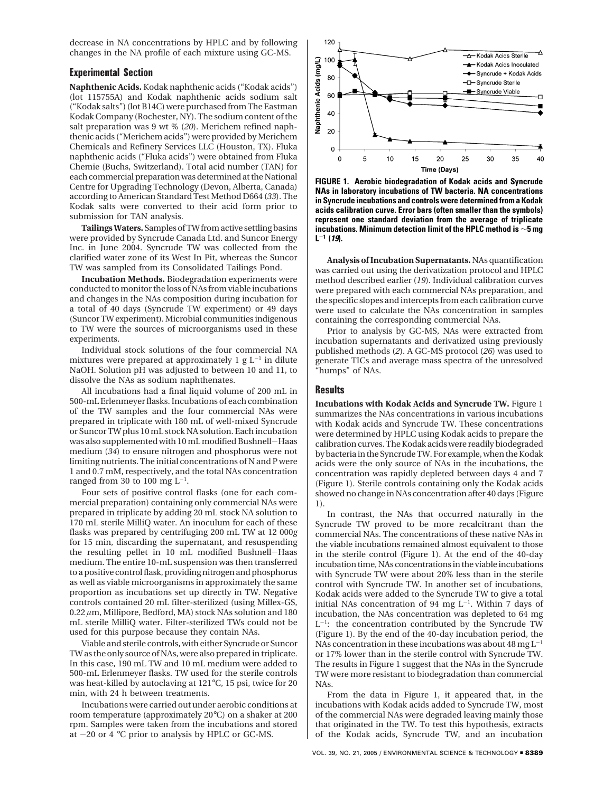decrease in NA concentrations by HPLC and by following changes in the NA profile of each mixture using GC-MS.

#### **Experimental Section**

**Naphthenic Acids.** Kodak naphthenic acids ("Kodak acids") (lot 115755A) and Kodak naphthenic acids sodium salt ("Kodak salts") (lot B14C) were purchased from The Eastman Kodak Company (Rochester, NY). The sodium content of the salt preparation was 9 wt % (*20*). Merichem refined naphthenic acids ("Merichem acids") were provided by Merichem Chemicals and Refinery Services LLC (Houston, TX). Fluka naphthenic acids ("Fluka acids") were obtained from Fluka Chemie (Buchs, Switzerland). Total acid number (TAN) for each commercial preparation was determined at the National Centre for Upgrading Technology (Devon, Alberta, Canada) according to American Standard Test Method D664 (*33*). The Kodak salts were converted to their acid form prior to submission for TAN analysis.

**Tailings Waters.** Samples of TW from active settling basins were provided by Syncrude Canada Ltd. and Suncor Energy Inc. in June 2004. Syncrude TW was collected from the clarified water zone of its West In Pit, whereas the Suncor TW was sampled from its Consolidated Tailings Pond.

**Incubation Methods.** Biodegradation experiments were conducted to monitor the loss of NAs from viable incubations and changes in the NAs composition during incubation for a total of 40 days (Syncrude TW experiment) or 49 days (Suncor TW experiment). Microbial communities indigenous to TW were the sources of microorganisms used in these experiments.

Individual stock solutions of the four commercial NA mixtures were prepared at approximately 1  $g L^{-1}$  in dilute NaOH. Solution pH was adjusted to between 10 and 11, to dissolve the NAs as sodium naphthenates.

All incubations had a final liquid volume of 200 mL in 500-mL Erlenmeyer flasks. Incubations of each combination of the TW samples and the four commercial NAs were prepared in triplicate with 180 mL of well-mixed Syncrude or Suncor TW plus 10 mL stock NA solution. Each incubation was also supplemented with 10 mL modified Bushnell-Haas medium (*34*) to ensure nitrogen and phosphorus were not limiting nutrients. The initial concentrations of N and P were 1 and 0.7 mM, respectively, and the total NAs concentration ranged from 30 to 100 mg  $L^{-1}$ .

Four sets of positive control flasks (one for each commercial preparation) containing only commercial NAs were prepared in triplicate by adding 20 mL stock NA solution to 170 mL sterile MilliQ water. An inoculum for each of these flasks was prepared by centrifuging 200 mL TW at 12 000*g* for 15 min, discarding the supernatant, and resuspending the resulting pellet in 10 mL modified Bushnell-Haas medium. The entire 10-mL suspension was then transferred to a positive control flask, providing nitrogen and phosphorus as well as viable microorganisms in approximately the same proportion as incubations set up directly in TW. Negative controls contained 20 mL filter-sterilized (using Millex-GS, 0.22 *µ*m, Millipore, Bedford, MA) stock NAs solution and 180 mL sterile MilliQ water. Filter-sterilized TWs could not be used for this purpose because they contain NAs.

Viable and sterile controls, with either Syncrude or Suncor TW as the only source of NAs, were also prepared in triplicate. In this case, 190 mL TW and 10 mL medium were added to 500-mL Erlenmeyer flasks. TW used for the sterile controls was heat-killed by autoclaving at 121°C, 15 psi, twice for 20 min, with 24 h between treatments.

Incubations were carried out under aerobic conditions at room temperature (approximately 20°C) on a shaker at 200 rpm. Samples were taken from the incubations and stored at  $-20$  or  $4 \degree C$  prior to analysis by HPLC or GC-MS.



**FIGURE 1. Aerobic biodegradation of Kodak acids and Syncrude NAs in laboratory incubations of TW bacteria. NA concentrations in Syncrude incubations and controls were determined from a Kodak acids calibration curve. Error bars (often smaller than the symbols) represent one standard deviation from the average of triplicate incubations. Minimum detection limit of the HPLC method is** ∼**5 mg L**-**<sup>1</sup> (19).**

**Analysis of Incubation Supernatants.** NAs quantification was carried out using the derivatization protocol and HPLC method described earlier (*19*). Individual calibration curves were prepared with each commercial NAs preparation, and the specific slopes and intercepts from each calibration curve were used to calculate the NAs concentration in samples containing the corresponding commercial NAs.

Prior to analysis by GC-MS, NAs were extracted from incubation supernatants and derivatized using previously published methods (*2*). A GC-MS protocol (*26*) was used to generate TICs and average mass spectra of the unresolved "humps" of NAs.

#### **Results**

**Incubations with Kodak Acids and Syncrude TW.** Figure 1 summarizes the NAs concentrations in various incubations with Kodak acids and Syncrude TW. These concentrations were determined by HPLC using Kodak acids to prepare the calibration curves. The Kodak acids were readily biodegraded by bacteria in the Syncrude TW. For example, when the Kodak acids were the only source of NAs in the incubations, the concentration was rapidly depleted between days 4 and 7 (Figure 1). Sterile controls containing only the Kodak acids showed no change in NAs concentration after 40 days (Figure 1).

In contrast, the NAs that occurred naturally in the Syncrude TW proved to be more recalcitrant than the commercial NAs. The concentrations of these native NAs in the viable incubations remained almost equivalent to those in the sterile control (Figure 1). At the end of the 40-day incubation time, NAs concentrations in the viable incubations with Syncrude TW were about 20% less than in the sterile control with Syncrude TW. In another set of incubations, Kodak acids were added to the Syncrude TW to give a total initial NAs concentration of 94 mg  $L^{-1}$ . Within 7 days of incubation, the NAs concentration was depleted to 64 mg  $L^{-1}$ : the concentration contributed by the Syncrude TW (Figure 1). By the end of the 40-day incubation period, the NAs concentration in these incubations was about  $48 \text{ mg L}^{-1}$ or 17% lower than in the sterile control with Syncrude TW. The results in Figure 1 suggest that the NAs in the Syncrude TW were more resistant to biodegradation than commercial NAs.

From the data in Figure 1, it appeared that, in the incubations with Kodak acids added to Syncrude TW, most of the commercial NAs were degraded leaving mainly those that originated in the TW. To test this hypothesis, extracts of the Kodak acids, Syncrude TW, and an incubation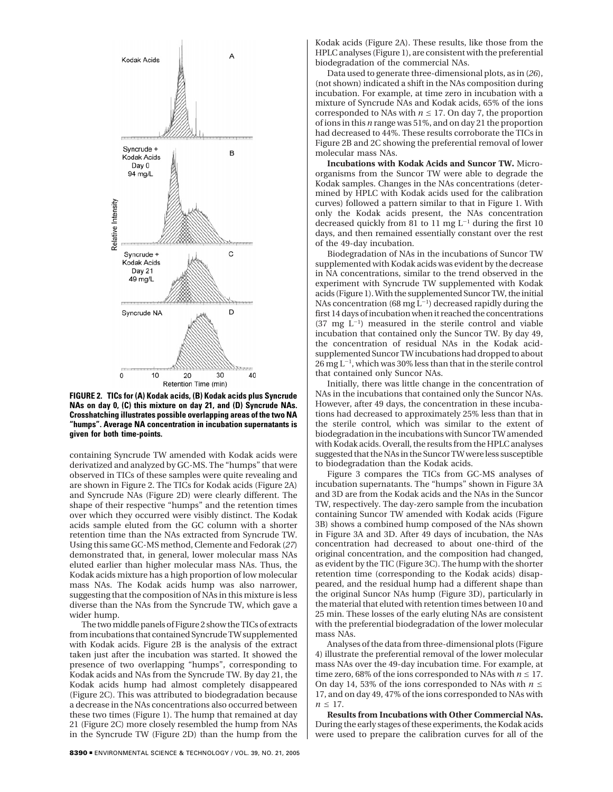

**FIGURE 2. TICs for (A) Kodak acids, (B) Kodak acids plus Syncrude NAs on day 0, (C) this mixture on day 21, and (D) Syncrude NAs. Crosshatching illustrates possible overlapping areas of the two NA "humps". Average NA concentration in incubation supernatants is given for both time-points.**

containing Syncrude TW amended with Kodak acids were derivatized and analyzed by GC-MS. The "humps" that were observed in TICs of these samples were quite revealing and are shown in Figure 2. The TICs for Kodak acids (Figure 2A) and Syncrude NAs (Figure 2D) were clearly different. The shape of their respective "humps" and the retention times over which they occurred were visibly distinct. The Kodak acids sample eluted from the GC column with a shorter retention time than the NAs extracted from Syncrude TW. Using this same GC-MS method, Clemente and Fedorak (*27*) demonstrated that, in general, lower molecular mass NAs eluted earlier than higher molecular mass NAs. Thus, the Kodak acids mixture has a high proportion of low molecular mass NAs. The Kodak acids hump was also narrower, suggesting that the composition of NAs in this mixture is less diverse than the NAs from the Syncrude TW, which gave a wider hump.

The two middle panels of Figure 2 show the TICs of extracts from incubations that contained Syncrude TW supplemented with Kodak acids. Figure 2B is the analysis of the extract taken just after the incubation was started. It showed the presence of two overlapping "humps", corresponding to Kodak acids and NAs from the Syncrude TW. By day 21, the Kodak acids hump had almost completely disappeared (Figure 2C). This was attributed to biodegradation because a decrease in the NAs concentrations also occurred between these two times (Figure 1). The hump that remained at day 21 (Figure 2C) more closely resembled the hump from NAs in the Syncrude TW (Figure 2D) than the hump from the

Kodak acids (Figure 2A). These results, like those from the HPLC analyses (Figure 1), are consistent with the preferential biodegradation of the commercial NAs.

Data used to generate three-dimensional plots, as in (*26*), (not shown) indicated a shift in the NAs composition during incubation. For example, at time zero in incubation with a mixture of Syncrude NAs and Kodak acids, 65% of the ions corresponded to NAs with  $n \leq 17$ . On day 7, the proportion of ions in this *n* range was 51%, and on day 21 the proportion had decreased to 44%. These results corroborate the TICs in Figure 2B and 2C showing the preferential removal of lower molecular mass NAs.

**Incubations with Kodak Acids and Suncor TW.** Microorganisms from the Suncor TW were able to degrade the Kodak samples. Changes in the NAs concentrations (determined by HPLC with Kodak acids used for the calibration curves) followed a pattern similar to that in Figure 1. With only the Kodak acids present, the NAs concentration decreased quickly from 81 to 11 mg  $\mathrm{L}^{-1}$  during the first 10 days, and then remained essentially constant over the rest of the 49-day incubation.

Biodegradation of NAs in the incubations of Suncor TW supplemented with Kodak acids was evident by the decrease in NA concentrations, similar to the trend observed in the experiment with Syncrude TW supplemented with Kodak acids (Figure 1). With the supplemented Suncor TW, the initial NAs concentration (68 mg  $L^{-1}$ ) decreased rapidly during the first 14 days of incubation when it reached the concentrations  $(37 \text{ mg } L^{-1})$  measured in the sterile control and viable incubation that contained only the Suncor TW. By day 49, the concentration of residual NAs in the Kodak acidsupplemented Suncor TW incubations had dropped to about  $26$  mg  $L^{-1}$ , which was 30% less than that in the sterile control that contained only Suncor NAs.

Initially, there was little change in the concentration of NAs in the incubations that contained only the Suncor NAs. However, after 49 days, the concentration in these incubations had decreased to approximately 25% less than that in the sterile control, which was similar to the extent of biodegradation in the incubations with Suncor TW amended with Kodak acids. Overall, the results from the HPLC analyses suggested that the NAs in the Suncor TW were less susceptible to biodegradation than the Kodak acids.

Figure 3 compares the TICs from GC-MS analyses of incubation supernatants. The "humps" shown in Figure 3A and 3D are from the Kodak acids and the NAs in the Suncor TW, respectively. The day-zero sample from the incubation containing Suncor TW amended with Kodak acids (Figure 3B) shows a combined hump composed of the NAs shown in Figure 3A and 3D. After 49 days of incubation, the NAs concentration had decreased to about one-third of the original concentration, and the composition had changed, as evident by the TIC (Figure 3C). The hump with the shorter retention time (corresponding to the Kodak acids) disappeared, and the residual hump had a different shape than the original Suncor NAs hump (Figure 3D), particularly in the material that eluted with retention times between 10 and 25 min. These losses of the early eluting NAs are consistent with the preferential biodegradation of the lower molecular mass NAs.

Analyses of the data from three-dimensional plots (Figure 4) illustrate the preferential removal of the lower molecular mass NAs over the 49-day incubation time. For example, at time zero, 68% of the ions corresponded to NAs with  $n \leq 17$ . On day 14, 53% of the ions corresponded to NAs with  $n \leq$ 17, and on day 49, 47% of the ions corresponded to NAs with  $n \leq 17$ .

**Results from Incubations with Other Commercial NAs.** During the early stages of these experiments, the Kodak acids were used to prepare the calibration curves for all of the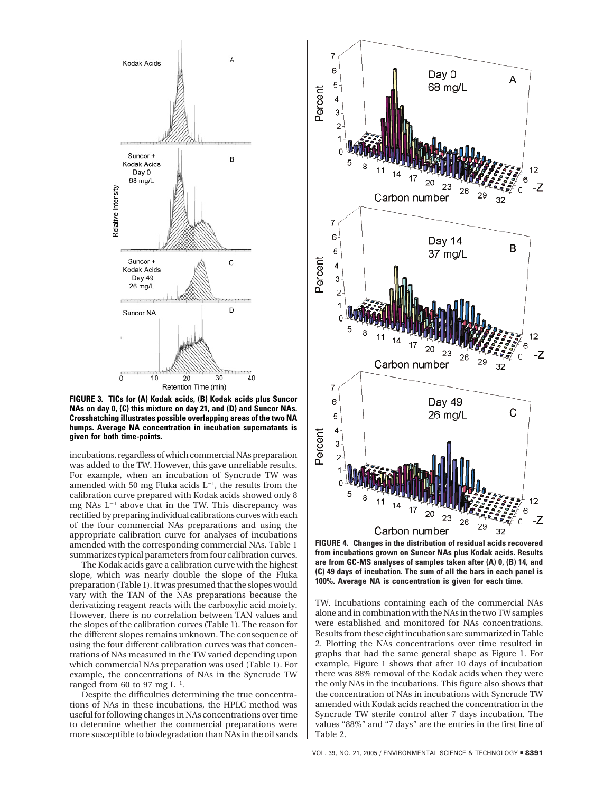

**FIGURE 3. TICs for (A) Kodak acids, (B) Kodak acids plus Suncor NAs on day 0, (C) this mixture on day 21, and (D) and Suncor NAs. Crosshatching illustrates possible overlapping areas of the two NA humps. Average NA concentration in incubation supernatants is given for both time-points.**

incubations, regardless of which commercial NAs preparation was added to the TW. However, this gave unreliable results. For example, when an incubation of Syncrude TW was amended with 50 mg Fluka acids  $L^{-1}$ , the results from the calibration curve prepared with Kodak acids showed only 8 mg NAs  $L^{-1}$  above that in the TW. This discrepancy was rectified by preparing individual calibrations curves with each of the four commercial NAs preparations and using the appropriate calibration curve for analyses of incubations amended with the corresponding commercial NAs. Table 1 summarizes typical parameters from four calibration curves.

The Kodak acids gave a calibration curve with the highest slope, which was nearly double the slope of the Fluka preparation (Table 1). It was presumed that the slopes would vary with the TAN of the NAs preparations because the derivatizing reagent reacts with the carboxylic acid moiety. However, there is no correlation between TAN values and the slopes of the calibration curves (Table 1). The reason for the different slopes remains unknown. The consequence of using the four different calibration curves was that concentrations of NAs measured in the TW varied depending upon which commercial NAs preparation was used (Table 1). For example, the concentrations of NAs in the Syncrude TW ranged from 60 to 97 mg  $L^{-1}$ .

Despite the difficulties determining the true concentrations of NAs in these incubations, the HPLC method was useful for following changes in NAs concentrations over time to determine whether the commercial preparations were more susceptible to biodegradation than NAs in the oil sands



**FIGURE 4. Changes in the distribution of residual acids recovered from incubations grown on Suncor NAs plus Kodak acids. Results are from GC-MS analyses of samples taken after (A) 0, (B) 14, and (C) 49 days of incubation. The sum of all the bars in each panel is 100%. Average NA is concentration is given for each time.**

TW. Incubations containing each of the commercial NAs alone and in combination with the NAs in the two TW samples were established and monitored for NAs concentrations. Results from these eight incubations are summarized in Table 2. Plotting the NAs concentrations over time resulted in graphs that had the same general shape as Figure 1. For example, Figure 1 shows that after 10 days of incubation there was 88% removal of the Kodak acids when they were the only NAs in the incubations. This figure also shows that the concentration of NAs in incubations with Syncrude TW amended with Kodak acids reached the concentration in the Syncrude TW sterile control after 7 days incubation. The values "88%" and "7 days" are the entries in the first line of Table 2.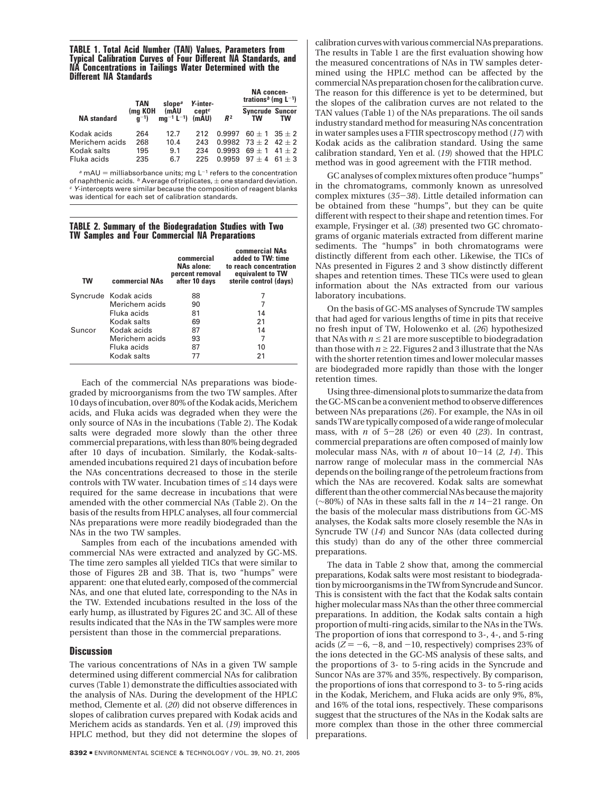**TABLE 1. Total Acid Number (TAN) Values, Parameters from Typical Calibration Curves of Four Different NA Standards, and NA Concentrations in Tailings Water Determined with the Different NA Standards**

|                    | TAN                 | slope <sup>a</sup>      | Y-inter-       |                | NA concen-<br>trations <sup>b</sup> (mg $L^{-1}$ ) |    |
|--------------------|---------------------|-------------------------|----------------|----------------|----------------------------------------------------|----|
| <b>NA</b> standard | (ma KOH<br>$a^{-1}$ | (mAU<br>$ma^{-1}L^{-1}$ | centc<br>(mAU) | R <sup>2</sup> | <b>Syncrude Suncor</b><br>TW                       | TW |
| Kodak acids        | 264                 | 12.7                    | 212            | 0.9997         | $60 + 1$ 35 + 2                                    |    |
| Merichem acids     | 268                 | 10.4                    | 243            |                | $0.9982$ 73 + 2 42 + 2                             |    |
| Kodak salts        | 195                 | 9.1                     | 234            | 0.9993         | $69 + 1$ 41 + 2                                    |    |
| Fluka acids        | 235                 | 6.7                     | 225            | 0.9959         | $97 + 4$ 61 + 3                                    |    |

 $a$  mAU = milliabsorbance units; mg L<sup>-1</sup> refers to the concentration of naphthenic acids.  $\frac{b}{c}$  Average of triplicates,  $\pm$  one standard deviation.  $\frac{c}{c}$  Y-intercepts were similar because the composition of reagent blanks was identical for each set of calibration standards.

**TABLE 2. Summary of the Biodegradation Studies with Two TW Samples and Four Commercial NA Preparations**

| <b>TW</b> | <b>commercial NAs</b> | commercial<br>NAs alone:<br>percent removal<br>after 10 days | commercial NAs<br>added to TW: time<br>to reach concentration<br>equivalent to TW<br>sterile control (days) |
|-----------|-----------------------|--------------------------------------------------------------|-------------------------------------------------------------------------------------------------------------|
|           | Syncrude Kodak acids  | 88                                                           |                                                                                                             |
|           | Merichem acids        | 90                                                           |                                                                                                             |
|           | Fluka acids           | 81                                                           | 14                                                                                                          |
|           | Kodak salts           | 69                                                           | 21                                                                                                          |
| Suncor    | Kodak acids           | 87                                                           | 14                                                                                                          |
|           | Merichem acids        | 93                                                           | 7                                                                                                           |
|           | Fluka acids           | 87                                                           | 10                                                                                                          |
|           | Kodak salts           |                                                              | 21                                                                                                          |

Each of the commercial NAs preparations was biodegraded by microorganisms from the two TW samples. After 10 days of incubation, over 80% of the Kodak acids, Merichem acids, and Fluka acids was degraded when they were the only source of NAs in the incubations (Table 2). The Kodak salts were degraded more slowly than the other three commercial preparations, with less than 80% being degraded after 10 days of incubation. Similarly, the Kodak-saltsamended incubations required 21 days of incubation before the NAs concentrations decreased to those in the sterile controls with TW water. Incubation times of  $\leq$  14 days were required for the same decrease in incubations that were amended with the other commercial NAs (Table 2). On the basis of the results from HPLC analyses, all four commercial NAs preparations were more readily biodegraded than the NAs in the two TW samples.

Samples from each of the incubations amended with commercial NAs were extracted and analyzed by GC-MS. The time zero samples all yielded TICs that were similar to those of Figures 2B and 3B. That is, two "humps" were apparent: one that eluted early, composed of the commercial NAs, and one that eluted late, corresponding to the NAs in the TW. Extended incubations resulted in the loss of the early hump, as illustrated by Figures 2C and 3C. All of these results indicated that the NAs in the TW samples were more persistent than those in the commercial preparations.

#### **Discussion**

The various concentrations of NAs in a given TW sample determined using different commercial NAs for calibration curves (Table 1) demonstrate the difficulties associated with the analysis of NAs. During the development of the HPLC method, Clemente et al. (*20*) did not observe differences in slopes of calibration curves prepared with Kodak acids and Merichem acids as standards. Yen et al. (*19*) improved this HPLC method, but they did not determine the slopes of calibration curves with various commercial NAs preparations. The results in Table 1 are the first evaluation showing how the measured concentrations of NAs in TW samples determined using the HPLC method can be affected by the commercial NAs preparation chosen for the calibration curve. The reason for this difference is yet to be determined, but the slopes of the calibration curves are not related to the TAN values (Table 1) of the NAs preparations. The oil sands industry standard method for measuring NAs concentration in water samples uses a FTIR spectroscopy method (*17*) with Kodak acids as the calibration standard. Using the same calibration standard, Yen et al. (*19*) showed that the HPLC method was in good agreement with the FTIR method.

GC analyses of complex mixtures often produce "humps" in the chromatograms, commonly known as unresolved complex mixtures (*35*-*38*). Little detailed information can be obtained from these "humps", but they can be quite different with respect to their shape and retention times. For example, Frysinger et al. (*38*) presented two GC chromatograms of organic materials extracted from different marine sediments. The "humps" in both chromatograms were distinctly different from each other. Likewise, the TICs of NAs presented in Figures 2 and 3 show distinctly different shapes and retention times. These TICs were used to glean information about the NAs extracted from our various laboratory incubations.

On the basis of GC-MS analyses of Syncrude TW samples that had aged for various lengths of time in pits that receive no fresh input of TW, Holowenko et al. (*26*) hypothesized that NAs with  $n \leq 21$  are more susceptible to biodegradation than those with  $n \geq 22$ . Figures 2 and 3 illustrate that the NAs with the shorter retention times and lower molecular masses are biodegraded more rapidly than those with the longer retention times.

Using three-dimensional plots to summarize the data from the GC-MS can be a convenient method to observe differences between NAs preparations (*26*). For example, the NAs in oil sands TW are typically composed of a wide range of molecular mass, with *<sup>n</sup>* of 5-28 (*26*) or even 40 (*23*). In contrast, commercial preparations are often composed of mainly low molecular mass NAs, with *<sup>n</sup>* of about 10-14 (*2, 14*). This narrow range of molecular mass in the commercial NAs depends on the boiling range of the petroleum fractions from which the NAs are recovered. Kodak salts are somewhat different than the other commercial NAs because the majority (∼80%) of NAs in these salts fall in the *<sup>n</sup>* <sup>14</sup>-21 range. On the basis of the molecular mass distributions from GC-MS analyses, the Kodak salts more closely resemble the NAs in Syncrude TW (*14*) and Suncor NAs (data collected during this study) than do any of the other three commercial preparations.

The data in Table 2 show that, among the commercial preparations, Kodak salts were most resistant to biodegradation by microorganisms in the TW from Syncrude and Suncor. This is consistent with the fact that the Kodak salts contain higher molecular mass NAs than the other three commercial preparations. In addition, the Kodak salts contain a high proportion of multi-ring acids, similar to the NAs in the TWs. The proportion of ions that correspond to 3-, 4-, and 5-ring acids  $(Z = -6, -8, \text{ and } -10, \text{ respectively}$  comprises 23% of the ions detected in the GC-MS analysis of these salts, and the proportions of 3- to 5-ring acids in the Syncrude and Suncor NAs are 37% and 35%, respectively. By comparison, the proportions of ions that correspond to 3- to 5-ring acids in the Kodak, Merichem, and Fluka acids are only 9%, 8%, and 16% of the total ions, respectively. These comparisons suggest that the structures of the NAs in the Kodak salts are more complex than those in the other three commercial preparations.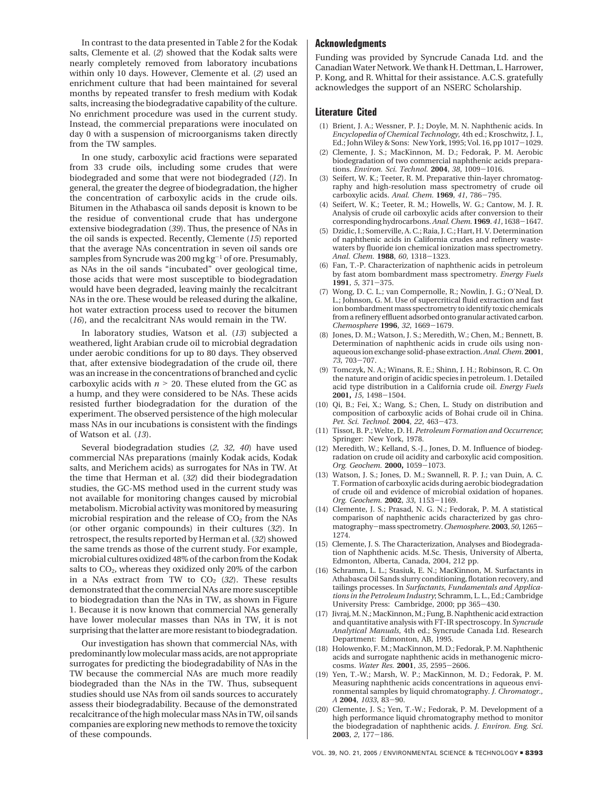In contrast to the data presented in Table 2 for the Kodak salts, Clemente et al. (*2*) showed that the Kodak salts were nearly completely removed from laboratory incubations within only 10 days. However, Clemente et al. (*2*) used an enrichment culture that had been maintained for several months by repeated transfer to fresh medium with Kodak salts, increasing the biodegradative capability of the culture. No enrichment procedure was used in the current study. Instead, the commercial preparations were inoculated on day 0 with a suspension of microorganisms taken directly from the TW samples.

In one study, carboxylic acid fractions were separated from 33 crude oils, including some crudes that were biodegraded and some that were not biodegraded (*12*). In general, the greater the degree of biodegradation, the higher the concentration of carboxylic acids in the crude oils. Bitumen in the Athabasca oil sands deposit is known to be the residue of conventional crude that has undergone extensive biodegradation (*39*). Thus, the presence of NAs in the oil sands is expected. Recently, Clemente (*15*) reported that the average NAs concentration in seven oil sands ore samples from Syncrude was 200 mg kg<sup>-1</sup> of ore. Presumably, as NAs in the oil sands "incubated" over geological time, those acids that were most susceptible to biodegradation would have been degraded, leaving mainly the recalcitrant NAs in the ore. These would be released during the alkaline, hot water extraction process used to recover the bitumen (*16*), and the recalcitrant NAs would remain in the TW.

In laboratory studies, Watson et al. (*13*) subjected a weathered, light Arabian crude oil to microbial degradation under aerobic conditions for up to 80 days. They observed that, after extensive biodegradation of the crude oil, there was an increase in the concentrations of branched and cyclic carboxylic acids with  $n > 20$ . These eluted from the GC as a hump, and they were considered to be NAs. These acids resisted further biodegradation for the duration of the experiment. The observed persistence of the high molecular mass NAs in our incubations is consistent with the findings of Watson et al. (*13*).

Several biodegradation studies (*2, 32, 40*) have used commercial NAs preparations (mainly Kodak acids, Kodak salts, and Merichem acids) as surrogates for NAs in TW. At the time that Herman et al. (*32*) did their biodegradation studies, the GC-MS method used in the current study was not available for monitoring changes caused by microbial metabolism. Microbial activity was monitored by measuring microbial respiration and the release of  $CO<sub>2</sub>$  from the NAs (or other organic compounds) in their cultures (*32*). In retrospect, the results reported by Herman et al. (*32*) showed the same trends as those of the current study. For example, microbial cultures oxidized 48% of the carbon from the Kodak salts to  $CO<sub>2</sub>$ , whereas they oxidized only 20% of the carbon in a NAs extract from TW to  $CO<sub>2</sub>$  (32). These results demonstrated that the commercial NAs are more susceptible to biodegradation than the NAs in TW, as shown in Figure 1. Because it is now known that commercial NAs generally have lower molecular masses than NAs in TW, it is not surprising that the latter are more resistant to biodegradation.

Our investigation has shown that commercial NAs, with predominantly low molecular mass acids, are not appropriate surrogates for predicting the biodegradability of NAs in the TW because the commercial NAs are much more readily biodegraded than the NAs in the TW. Thus, subsequent studies should use NAs from oil sands sources to accurately assess their biodegradability. Because of the demonstrated recalcitrance of the high molecular mass NAs in TW, oil sands companies are exploring new methods to remove the toxicity of these compounds.

## **Acknowledgments**

Funding was provided by Syncrude Canada Ltd. and the Canadian Water Network. We thank H. Dettman, L. Harrower, P. Kong, and R. Whittal for their assistance. A.C.S. gratefully acknowledges the support of an NSERC Scholarship.

#### **Literature Cited**

- (1) Brient, J. A.; Wessner, P. J.; Doyle, M. N. Naphthenic acids. In *Encyclopedia of Chemical Technology,* 4th ed.; Kroschwitz, J. I., Ed.; John Wiley & Sons: New York, 1995; Vol. 16, pp 1017-1029.
- (2) Clemente, J. S.; MacKinnon, M. D.; Fedorak, P. M. Aerobic biodegradation of two commercial naphthenic acids preparations. *Environ. Sci. Technol.* **<sup>2004</sup>**, *<sup>38</sup>*, 1009-1016.
- (3) Seifert, W. K.; Teeter, R. M. Preparative thin-layer chromatography and high-resolution mass spectrometry of crude oil carboxylic acids. *Anal. Chem.* **<sup>1969</sup>**, *<sup>41</sup>*, 786-795.
- (4) Seifert, W. K.; Teeter, R. M.; Howells, W. G.; Cantow, M. J. R. Analysis of crude oil carboxylic acids after conversion to their corresponding hydrocarbons.*Anal. Chem.* **<sup>1969</sup>**. *<sup>41</sup>*, 1638-1647.
- (5) Dzidic, I.; Somerville, A. C.; Raia, J. C.; Hart, H. V. Determination of naphthenic acids in California crudes and refinery wastewaters by fluoride ion chemical ionization mass spectrometry. *Anal. Chem.* **<sup>1988</sup>**, *<sup>60</sup>*, 1318-1323.
- (6) Fan, T.-P. Characterization of naphthenic acids in petroleum by fast atom bombardment mass spectrometry. *Energy Fuels* **<sup>1991</sup>**, *<sup>5</sup>*, 371-375.
- (7) Wong, D. C. L.; van Compernolle, R.; Nowlin, J. G.; O'Neal, D. L.; Johnson, G. M. Use of supercritical fluid extraction and fast ion bombardment mass spectrometry to identify toxic chemicals from a refinery effluent adsorbed onto granular activated carbon. *Chemosphere* **<sup>1996</sup>**, *<sup>32</sup>*, 1669-1679.
- (8) Jones, D. M.; Watson, J. S.; Meredith, W.; Chen, M.; Bennett, B. Determination of naphthenic acids in crude oils using nonaqueous ion exchange solid-phase extraction.*Anal. Chem.* **2001**, *<sup>73</sup>*, 703-707.
- (9) Tomczyk, N. A.; Winans, R. E.; Shinn, J. H.; Robinson, R. C. On the nature and origin of acidic species in petroleum. 1. Detailed acid type distribution in a California crude oil. *Energy Fuels* **2001,** *<sup>15</sup>*, 1498-1504.
- (10) Qi, B.; Fei, X.; Wang, S.; Chen, L. Study on distribution and composition of carboxylic acids of Bohai crude oil in China. *Pet. Sci. Technol.* **<sup>2004</sup>**, *<sup>22</sup>*, 463-473.
- (11) Tissot, B. P.; Welte, D. H. *Petroleum Formation and Occurrence*; Springer: New York, 1978.
- (12) Meredith, W.; Kelland, S.-J., Jones, D. M. Influence of biodegradation on crude oil acidity and carboxylic acid composition. *Org. Geochem.* **2000,** <sup>1059</sup>-1073.
- (13) Watson, J. S.; Jones, D. M.; Swannell, R. P. J.; van Duin, A. C. T. Formation of carboxylic acids during aerobic biodegradation of crude oil and evidence of microbial oxidation of hopanes. *Org. Geochem.* **<sup>2002</sup>**, *<sup>33</sup>*, 1153-1169.
- (14) Clemente, J. S.; Prasad, N. G. N.; Fedorak, P. M. A statistical comparison of naphthenic acids characterized by gas chromatography-mass spectrometry.*Chemosphere*. **<sup>2003</sup>**, *<sup>50</sup>*, 1265- 1274.
- (15) Clemente, J. S. The Characterization, Analyses and Biodegradation of Naphthenic acids. M.Sc. Thesis, University of Alberta, Edmonton, Alberta, Canada, 2004, 212 pp.
- (16) Schramm, L. L.; Stasiuk, E. N.; MacKinnon, M. Surfactants in Athabasca Oil Sands slurry conditioning, flotation recovery, and tailings processes. In *Surfactants, Fundamentals and Applications in the Petroleum Industry*; Schramm, L. L., Ed.; Cambridge University Press: Cambridge, 2000; pp 365-430.
- (17) Jivraj, M. N.; MacKinnon, M.; Fung, B. Naphthenic acid extraction and quantitative analysis with FT-IR spectroscopy. In *Syncrude Analytical Manuals*, 4th ed.; Syncrude Canada Ltd. Research Department: Edmonton, AB, 1995.
- (18) Holowenko, F. M.; MacKinnon, M. D.; Fedorak, P. M. Naphthenic acids and surrogate naphthenic acids in methanogenic microcosms. *Water Res.* **<sup>2001</sup>**, *<sup>35</sup>*, 2595-2606.
- (19) Yen, T.-W.; Marsh, W. P.; MacKinnon, M. D.; Fedorak, P. M. Measuring naphthenic acids concentrations in aqueous environmental samples by liquid chromatography. *J. Chromatogr., <sup>A</sup>* **<sup>2004</sup>**, *<sup>1033</sup>*, 83-90.
- (20) Clemente, J. S.; Yen, T.-W.; Fedorak, P. M. Development of a high performance liquid chromatography method to monitor the biodegradation of naphthenic acids. *J. Environ. Eng. Sci*. **<sup>2003</sup>**, *<sup>2</sup>*, 177-186.